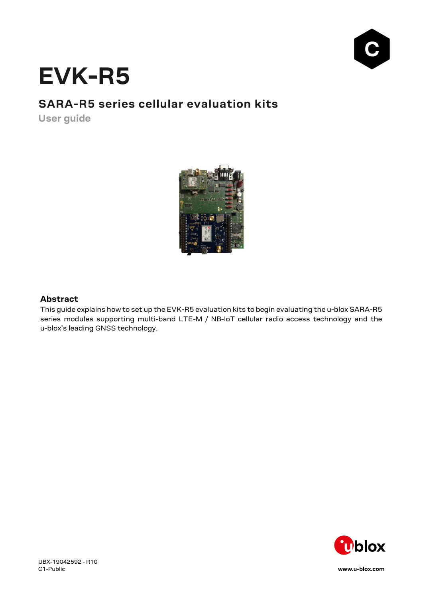

# **EVK-R5**

# **SARA-R5 series cellular evaluation kits**

**User guide**



### **Abstract**

This guide explains how to set up the EVK-R5 evaluation kits to begin evaluating the u-blox SARA-R5 series modules supporting multi-band LTE-M / NB-IoT cellular radio access technology and the u-blox's leading GNSS technology.

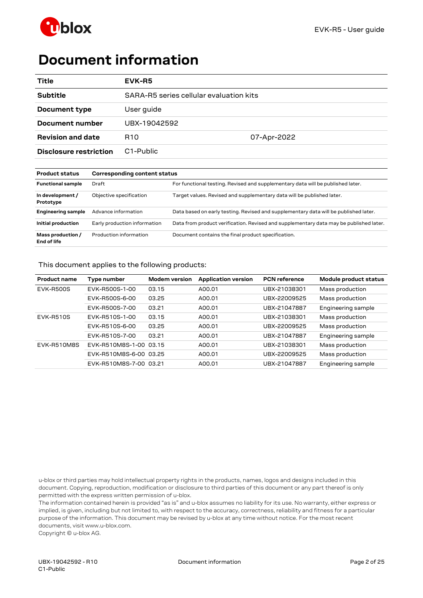



# <span id="page-1-0"></span>**Document information**

| Title                    | EVK-R5                                  |             |
|--------------------------|-----------------------------------------|-------------|
| <b>Subtitle</b>          | SARA-R5 series cellular evaluation kits |             |
| Document type            | User guide                              |             |
| Document number          | UBX-19042592                            |             |
| <b>Revision and date</b> | R <sub>10</sub>                         | 07-Apr-2022 |
| Disclosure restriction   | C <sub>1</sub> -Public                  |             |

| <b>Product status</b>            | Corresponding content status                                                             |                                                                                        |  |  |
|----------------------------------|------------------------------------------------------------------------------------------|----------------------------------------------------------------------------------------|--|--|
| <b>Functional sample</b>         | For functional testing. Revised and supplementary data will be published later.<br>Draft |                                                                                        |  |  |
| In development /<br>Prototype    | Objective specification                                                                  | Target values. Revised and supplementary data will be published later.                 |  |  |
| <b>Engineering sample</b>        | Advance information                                                                      | Data based on early testing. Revised and supplementary data will be published later.   |  |  |
| Initial production               | Early production information                                                             | Data from product verification. Revised and supplementary data may be published later. |  |  |
| Mass production /<br>End of life | Production information                                                                   | Document contains the final product specification.                                     |  |  |

This document applies to the following products:

| <b>Product name</b> | Type number            | <b>Modem version</b> | <b>Application version</b> | <b>PCN</b> reference | Module product status |
|---------------------|------------------------|----------------------|----------------------------|----------------------|-----------------------|
| <b>EVK-R500S</b>    | EVK-R500S-1-00         | 03.15                | A00.01                     | UBX-21038301         | Mass production       |
|                     | EVK-R500S-6-00         | 03.25                | A00.01                     | UBX-22009525         | Mass production       |
|                     | EVK-R500S-7-00         | 03.21                | A00.01                     | UBX-21047887         | Engineering sample    |
| <b>EVK-R510S</b>    | EVK-R510S-1-00         | 03.15                | A00.01                     | UBX-21038301         | Mass production       |
|                     | EVK-R510S-6-00         | 03.25                | A00.01                     | UBX-22009525         | Mass production       |
|                     | EVK-R510S-7-00         | 03.21                | A00.01                     | UBX-21047887         | Engineering sample    |
| EVK-R510M8S         | EVK-R510M8S-1-00 03.15 |                      | A00.01                     | UBX-21038301         | Mass production       |
|                     | EVK-R510M8S-6-00 03.25 |                      | A00.01                     | UBX-22009525         | Mass production       |
|                     | EVK-R510M8S-7-00 03.21 |                      | A00.01                     | UBX-21047887         | Engineering sample    |

u-blox or third parties may hold intellectual property rights in the products, names, logos and designs included in this document. Copying, reproduction, modification or disclosure to third parties of this document or any part thereof is only permitted with the express written permission of u-blox.

The information contained herein is provided "as is" and u-blox assumes no liability for its use. No warranty, either express or implied, is given, including but not limited to, with respect to the accuracy, correctness, reliability and fitness for a particular purpose of the information. This document may be revised by u-blox at any time without notice. For the most recent documents, visit www.u-blox.com.

Copyright © u-blox AG.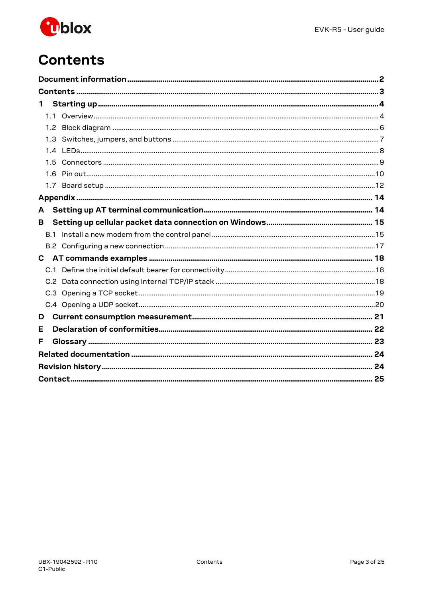

# <span id="page-2-0"></span>**Contents**

| $\mathbf{1}$ |  |
|--------------|--|
|              |  |
|              |  |
|              |  |
|              |  |
|              |  |
|              |  |
|              |  |
|              |  |
| A            |  |
| в            |  |
|              |  |
|              |  |
|              |  |
|              |  |
|              |  |
|              |  |
|              |  |
|              |  |
| D            |  |
| Е            |  |
| F            |  |
|              |  |
|              |  |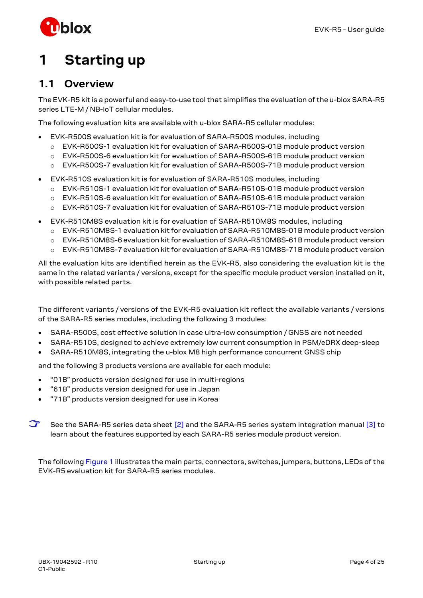

# <span id="page-3-0"></span>**1 Starting up**

## <span id="page-3-1"></span>**1.1 Overview**

The EVK-R5 kit is a powerful and easy-to-use tool that simplifies the evaluation of the u-blox SARA-R5 series LTE-M / NB-IoT cellular modules.

The following evaluation kits are available with u-blox SARA-R5 cellular modules:

- EVK-R500S evaluation kit is for evaluation of SARA-R500S modules, including
	- o EVK-R500S-1 evaluation kit for evaluation of SARA-R500S-01B module product version
	- o EVK-R500S-6 evaluation kit for evaluation of SARA-R500S-61B module product version
	- o EVK-R500S-7 evaluation kit for evaluation of SARA-R500S-71B module product version
- EVK-R510S evaluation kit is for evaluation of SARA-R510S modules, including
	- o EVK-R510S-1 evaluation kit for evaluation of SARA-R510S-01B module product version
	- o EVK-R510S-6 evaluation kit for evaluation of SARA-R510S-61B module product version
	- o EVK-R510S-7 evaluation kit for evaluation of SARA-R510S-71B module product version
- EVK-R510M8S evaluation kit is for evaluation of SARA-R510M8S modules, including
	- o EVK-R510M8S-1 evaluation kit for evaluation of SARA-R510M8S-01B module product version
	- o EVK-R510M8S-6 evaluation kit for evaluation of SARA-R510M8S-61B module product version
	- o EVK-R510M8S-7 evaluation kit for evaluation of SARA-R510M8S-71B module product version

All the evaluation kits are identified herein as the EVK-R5, also considering the evaluation kit is the same in the related variants / versions, except for the specific module product version installed on it, with possible related parts.

The different variants / versions of the EVK-R5 evaluation kit reflect the available variants / versions of the SARA-R5 series modules, including the following 3 modules:

- SARA-R500S, cost effective solution in case ultra-low consumption / GNSS are not needed
- SARA-R510S, designed to achieve extremely low current consumption in PSM/eDRX deep-sleep
- SARA-R510M8S, integrating the u-blox M8 high performance concurrent GNSS chip

and the following 3 products versions are available for each module:

- "01B" products version designed for use in multi-regions
- "61B" products version designed for use in Japan
- "71B" products version designed for use in Korea
- **☞** See the SARA-R5 series data sheet [\[2\]](#page-23-2) and the SARA-R5 series system integration manual [\[3\]](#page-23-3) to learn about the features supported by each SARA-R5 series module product version.

The followin[g Figure 1](#page-4-0) illustrates the main parts, connectors, switches, jumpers, buttons, LEDs of the EVK-R5 evaluation kit for SARA-R5 series modules.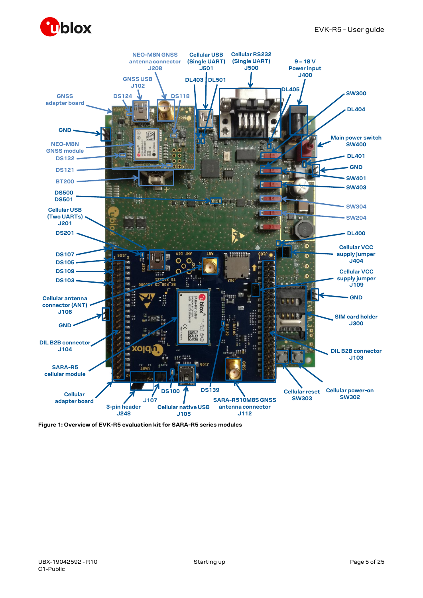



<span id="page-4-0"></span>**Figure 1: Overview of EVK-R5 evaluation kit for SARA-R5 series modules**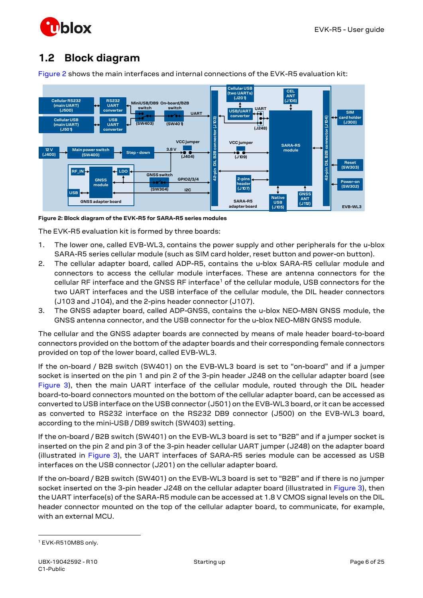

## <span id="page-5-0"></span>**1.2 Block diagram**



[Figure 2](#page-5-1) shows the main interfaces and internal connections of the EVK-R5 evaluation kit:

<span id="page-5-1"></span>**Figure 2: Block diagram of the EVK-R5 for SARA-R5 series modules**

The EVK-R5 evaluation kit is formed by three boards:

- 1. The lower one, called EVB-WL3, contains the power supply and other peripherals for the u-blox SARA-R5 series cellular module (such as SIM card holder, reset button and power-on button).
- 2. The cellular adapter board, called ADP-R5, contains the u-blox SARA-R5 cellular module and connectors to access the cellular module interfaces. These are antenna connectors for the cellular RF interface and the GNSS RF interface<sup>1</sup> of the cellular module, USB connectors for the two UART interfaces and the USB interface of the cellular module, the DIL header connectors (J103 and J104), and the 2-pins header connector (J107).
- 3. The GNSS adapter board, called ADP-GNSS, contains the u-blox NEO-M8N GNSS module, the GNSS antenna connector, and the USB connector for the u-blox NEO-M8N GNSS module.

The cellular and the GNSS adapter boards are connected by means of male header board-to-board connectors provided on the bottom of the adapter boards and their corresponding female connectors provided on top of the lower board, called EVB-WL3.

If the on-board / B2B switch (SW401) on the EVB-WL3 board is set to "on-board" and if a jumper socket is inserted on the pin 1 and pin 2 of the 3-pin header J248 on the cellular adapter board (see [Figure 3\)](#page-6-1), then the main UART interface of the cellular module, routed through the DIL header board-to-board connectors mounted on the bottom of the cellular adapter board, can be accessed as converted to USB interface on the USB connector (J501) on the EVB-WL3 board, or it can be accessed as converted to RS232 interface on the RS232 DB9 connector (J500) on the EVB-WL3 board, according to the mini-USB / DB9 switch (SW403) setting.

If the on-board / B2B switch (SW401) on the EVB-WL3 board is set to "B2B" and if a jumper socket is inserted on the pin 2 and pin 3 of the 3-pin header cellular UART jumper (J248) on the adapter board (illustrated in [Figure 3\)](#page-6-1), the UART interfaces of SARA-R5 series module can be accessed as USB interfaces on the USB connector (J201) on the cellular adapter board.

If the on-board / B2B switch (SW401) on the EVB-WL3 board is set to "B2B" and if there is no jumper socket inserted on the 3-pin header J248 on the cellular adapter board (illustrated in [Figure 3\)](#page-6-1), then the UART interface(s) of the SARA-R5 module can be accessed at 1.8 V CMOS signal levels on the DIL header connector mounted on the top of the cellular adapter board, to communicate, for example, with an external MCU.

<sup>1</sup> EVK-R510M8S only.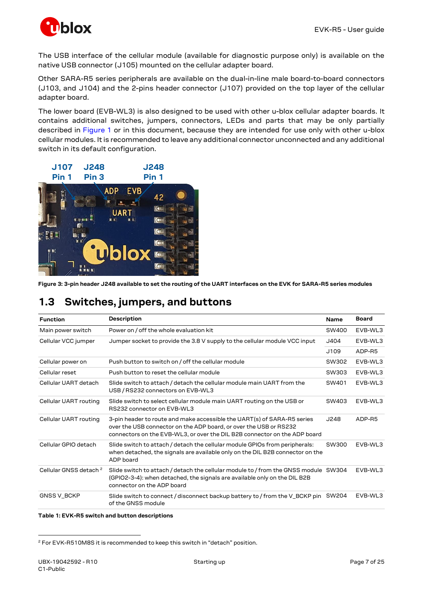

The USB interface of the cellular module (available for diagnostic purpose only) is available on the native USB connector (J105) mounted on the cellular adapter board.

Other SARA-R5 series peripherals are available on the dual-in-line male board-to-board connectors (J103, and J104) and the 2-pins header connector (J107) provided on the top layer of the cellular adapter board.

The lower board (EVB-WL3) is also designed to be used with other u-blox cellular adapter boards. It contains additional switches, jumpers, connectors, LEDs and parts that may be only partially described in [Figure 1](#page-4-0) or in this document, because they are intended for use only with other u-blox cellular modules. It is recommended to leave any additional connector unconnected and any additional switch in its default configuration.



<span id="page-6-1"></span>**Figure 3: 3-pin header J248 available to set the routing of the UART interfaces on the EVK for SARA-R5 series modules**

## <span id="page-6-0"></span>**1.3 Switches, jumpers, and buttons**

| <b>Function</b>                   | Description                                                                                                                                                                                                               | <b>Name</b> | <b>Board</b> |
|-----------------------------------|---------------------------------------------------------------------------------------------------------------------------------------------------------------------------------------------------------------------------|-------------|--------------|
| Main power switch                 | Power on / off the whole evaluation kit                                                                                                                                                                                   | SW400       | EVB-WL3      |
| Cellular VCC jumper               | Jumper socket to provide the 3.8 V supply to the cellular module VCC input                                                                                                                                                | J404        | EVB-WL3      |
|                                   |                                                                                                                                                                                                                           | J109        | ADP-R5       |
| Cellular power on                 | Push button to switch on / off the cellular module                                                                                                                                                                        | SW302       | EVB-WL3      |
| Cellular reset                    | Push button to reset the cellular module                                                                                                                                                                                  | SW303       | EVB-WL3      |
| Cellular UART detach              | Slide switch to attach / detach the cellular module main UART from the<br>USB / RS232 connectors on EVB-WL3                                                                                                               | SW401       | EVB-WL3      |
| Cellular UART routing             | Slide switch to select cellular module main UART routing on the USB or<br>RS232 connector on EVB-WL3                                                                                                                      | SW403       | EVB-WL3      |
| Cellular UART routing             | 3-pin header to route and make accessible the UART(s) of SARA-R5 series<br>over the USB connector on the ADP board, or over the USB or RS232<br>connectors on the EVB-WL3, or over the DIL B2B connector on the ADP board | J248        | ADP-R5       |
| Cellular GPIO detach              | Slide switch to attach / detach the cellular module GPIOs from peripherals:<br>when detached, the signals are available only on the DIL B2B connector on the<br>ADP board                                                 | SW300       | EVB-WL3      |
| Cellular GNSS detach <sup>2</sup> | Slide switch to attach / detach the cellular module to / from the GNSS module SW304<br>(GPIO2-3-4): when detached, the signals are available only on the DIL B2B<br>connector on the ADP board                            |             | EVB-WL3      |
| GNSS V_BCKP                       | Slide switch to connect / disconnect backup battery to / from the V_BCKP pin SW204<br>of the GNSS module                                                                                                                  |             | EVB-WL3      |

**Table 1: EVK-R5 switch and button descriptions**

<sup>&</sup>lt;sup>2</sup> For EVK-R510M8S it is recommended to keep this switch in "detach" position.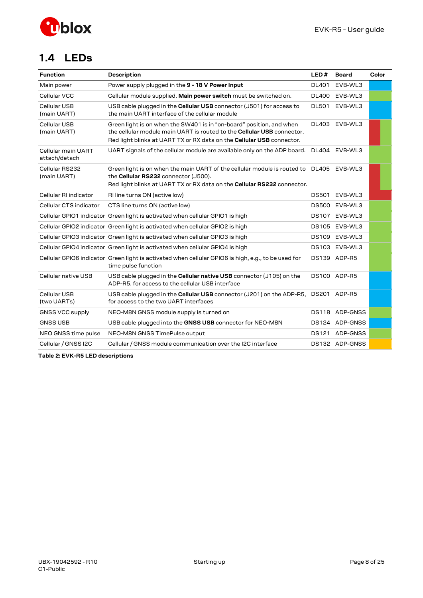

## <span id="page-7-0"></span>**1.4 LEDs**

| <b>Function</b>                     | <b>Description</b>                                                                                                                                                                                                             | LED#         | <b>Board</b>   | Color |
|-------------------------------------|--------------------------------------------------------------------------------------------------------------------------------------------------------------------------------------------------------------------------------|--------------|----------------|-------|
| Main power                          | Power supply plugged in the 9 - 18 V Power Input                                                                                                                                                                               | <b>DL401</b> | EVB-WL3        |       |
| Cellular VCC                        | Cellular module supplied. Main power switch must be switched on.                                                                                                                                                               | <b>DL400</b> | EVB-WL3        |       |
| Cellular USB<br>(main UART)         | USB cable plugged in the <b>Cellular USB</b> connector (J501) for access to<br>the main UART interface of the cellular module                                                                                                  | <b>DL501</b> | EVB-WL3        |       |
| Cellular USB<br>(main UART)         | Green light is on when the SW401 is in "on-board" position, and when<br>the cellular module main UART is routed to the <b>Cellular USB</b> connector.<br>Red light blinks at UART TX or RX data on the Cellular USB connector. | DL403        | EVB-WL3        |       |
| Cellular main UART<br>attach/detach | UART signals of the cellular module are available only on the ADP board.                                                                                                                                                       |              | DL404 EVB-WL3  |       |
| Cellular RS232<br>(main UART)       | Green light is on when the main UART of the cellular module is routed to DL405 EVB-WL3<br>the Cellular RS232 connector (J500).<br>Red light blinks at UART TX or RX data on the Cellular RS232 connector.                      |              |                |       |
| Cellular RI indicator               | RI line turns ON (active low)                                                                                                                                                                                                  | DS501        | EVB-WL3        |       |
| Cellular CTS indicator              | CTS line turns ON (active low)                                                                                                                                                                                                 | <b>DS500</b> | EVB-WL3        |       |
|                                     | Cellular GPIO1 indicator Green light is activated when cellular GPIO1 is high                                                                                                                                                  | DS107        | EVB-WL3        |       |
|                                     | Cellular GPIO2 indicator Green light is activated when cellular GPIO2 is high                                                                                                                                                  | DS105        | EVB-WL3        |       |
|                                     | Cellular GPIO3 indicator Green light is activated when cellular GPIO3 is high                                                                                                                                                  | <b>DS109</b> | EVB-WL3        |       |
|                                     | Cellular GPIO4 indicator Green light is activated when cellular GPIO4 is high                                                                                                                                                  | DS103        | EVB-WL3        |       |
|                                     | Cellular GPIO6 indicator Green light is activated when cellular GPIO6 is high, e.g., to be used for<br>time pulse function                                                                                                     |              | DS139 ADP-R5   |       |
| Cellular native USB                 | USB cable plugged in the <b>Cellular native USB</b> connector (J105) on the<br>ADP-R5, for access to the cellular USB interface                                                                                                |              | DS100 ADP-R5   |       |
| Cellular USB<br>(two UARTs)         | USB cable plugged in the <b>Cellular USB</b> connector (J201) on the ADP-R5,<br>for access to the two UART interfaces                                                                                                          |              | DS201 ADP-R5   |       |
| <b>GNSS VCC supply</b>              | NEO-M8N GNSS module supply is turned on                                                                                                                                                                                        | <b>DS118</b> | ADP-GNSS       |       |
| <b>GNSS USB</b>                     | USB cable plugged into the GNSS USB connector for NEO-M8N                                                                                                                                                                      | DS124        | ADP-GNSS       |       |
| NEO GNSS time pulse                 | NEO-M8N GNSS TimePulse output                                                                                                                                                                                                  | DS121        | ADP-GNSS       |       |
| Cellular / GNSS I2C                 | Cellular / GNSS module communication over the I2C interface                                                                                                                                                                    |              | DS132 ADP-GNSS |       |

**Table 2: EVK-R5 LED descriptions**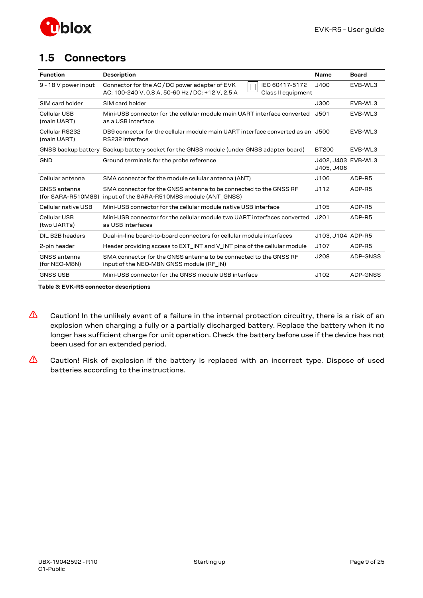

## <span id="page-8-0"></span>**1.5 Connectors**

| <b>Function</b>                           | <b>Description</b>                                                                                                                          | <b>Name</b>                      | <b>Board</b> |
|-------------------------------------------|---------------------------------------------------------------------------------------------------------------------------------------------|----------------------------------|--------------|
| 9 - 18 V power input                      | Connector for the AC / DC power adapter of EVK<br>IEC 60417-5172<br>AC: 100-240 V, 0.8 A, 50-60 Hz / DC: +12 V, 2.5 A<br>Class II equipment | J400                             | EVB-WL3      |
| SIM card holder                           | SIM card holder                                                                                                                             | J300                             | FVB-WL3      |
| Cellular USB<br>(main UART)               | Mini-USB connector for the cellular module main UART interface converted<br>as a USB interface                                              | J501                             | EVB-WL3      |
| Cellular RS232<br>(main UART)             | DB9 connector for the cellular module main UART interface converted as an J500<br>RS232 interface                                           |                                  | EVB-WL3      |
|                                           | GNSS backup battery Backup battery socket for the GNSS module (under GNSS adapter board)                                                    | <b>BT200</b>                     | EVB-WL3      |
| <b>GND</b>                                | Ground terminals for the probe reference                                                                                                    | J402, J403 EVB-WL3<br>J405, J406 |              |
| Cellular antenna                          | SMA connector for the module cellular antenna (ANT)                                                                                         | J106                             | ADP-R5       |
| <b>GNSS</b> antenna<br>(for SARA-R510M8S) | SMA connector for the GNSS antenna to be connected to the GNSS RF<br>input of the SARA-R510M8S module (ANT_GNSS)                            | J112                             | ADP-R5       |
| Cellular native USB                       | Mini-USB connector for the cellular module native USB interface                                                                             | J105                             | ADP-R5       |
| Cellular USB<br>(two UARTs)               | Mini-USB connector for the cellular module two UART interfaces converted<br>as USB interfaces                                               | J201                             | ADP-R5       |
| DIL B2B headers                           | Dual-in-line board-to-board connectors for cellular module interfaces                                                                       | J103, J104 ADP-R5                |              |
| 2-pin header                              | Header providing access to EXT_INT and V_INT pins of the cellular module                                                                    | J107                             | ADP-R5       |
| <b>GNSS</b> antenna<br>(for NEO-M8N)      | SMA connector for the GNSS antenna to be connected to the GNSS RF<br>input of the NEO-M8N GNSS module (RF_IN)                               | J208                             | ADP-GNSS     |
| <b>GNSS USB</b>                           | Mini-USB connector for the GNSS module USB interface                                                                                        | J102                             | ADP-GNSS     |

**Table 3: EVK-R5 connector descriptions**

- **⚠** Caution! In the unlikely event of a failure in the internal protection circuitry, there is a risk of an explosion when charging a fully or a partially discharged battery. Replace the battery when it no longer has sufficient charge for unit operation. Check the battery before use if the device has not been used for an extended period.
- **⚠** Caution! Risk of explosion if the battery is replaced with an incorrect type. Dispose of used batteries according to the instructions.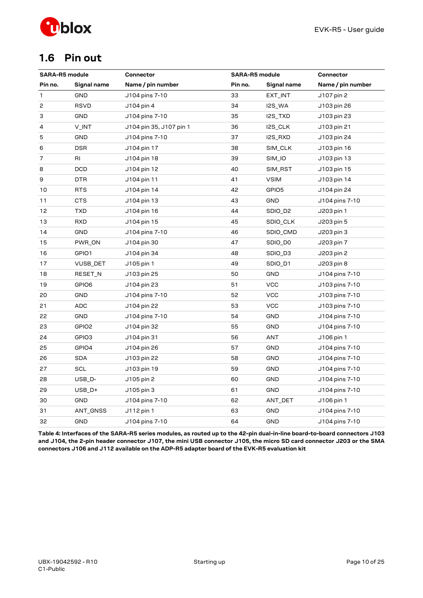

## <span id="page-9-0"></span>**1.6 Pin out**

| <b>SARA-R5 module</b> |                   | Connector               | <b>SARA-R5 module</b> |                     | Connector         |
|-----------------------|-------------------|-------------------------|-----------------------|---------------------|-------------------|
| Pin no.               | Signal name       | Name / pin number       | Pin no.               | Signal name         | Name / pin number |
| 1                     | GND               | J104 pins 7-10          | 33                    | EXT_INT             | J107 pin 2        |
| 2                     | <b>RSVD</b>       | J104 pin 4              | 34                    | I2S_WA              | J103 pin 26       |
| З                     | <b>GND</b>        | J104 pins 7-10          | 35                    | I2S_TXD             | J103 pin 23       |
| 4                     | V_INT             | J104 pin 35, J107 pin 1 | 36                    | I2S_CLK             | J103 pin 21       |
| 5                     | GND               | J104 pins 7-10          | 37                    | I2S_RXD             | J103 pin 24       |
| 6                     | <b>DSR</b>        | J104 pin 17             | 38                    | SIM_CLK             | J103 pin 16       |
| 7                     | RI                | J104 pin 18             | 39                    | SIM_IO              | J103 pin 13       |
| 8                     | <b>DCD</b>        | J104 pin 12             | 40                    | SIM_RST             | J103 pin 15       |
| 9                     | DTR               | J104 pin 11             | 41                    | <b>VSIM</b>         | J103 pin 14       |
| 10                    | <b>RTS</b>        | J104 pin 14             | 42                    | GPIO5               | J104 pin 24       |
| 11                    | CTS               | J104 pin 13             | 43                    | GND                 | J104 pins 7-10    |
| 12                    | <b>TXD</b>        | J104 pin 16             | 44                    | SDIO_D <sub>2</sub> | J203 pin 1        |
| 13                    | RXD               | J104 pin 15             | 45                    | SDIO_CLK            | J203 pin 5        |
| 14                    | <b>GND</b>        | J104 pins 7-10          | 46                    | SDIO_CMD            | J203 pin 3        |
| 15                    | PWR_ON            | J104 pin 30             | 47                    | SDIO_DO             | J203 pin 7        |
| 16                    | GPIO1             | J104 pin 34             | 48                    | SDIO_D3             | J203 pin 2        |
| 17                    | VUSB_DET          | J105 pin 1              | 49                    | SDIO_D1             | J203 pin 8        |
| 18                    | RESET_N           | J103 pin 25             | 50                    | <b>GND</b>          | J104 pins 7-10    |
| 19                    | GPIO6             | J104 pin 23             | 51                    | <b>VCC</b>          | J103 pins 7-10    |
| 20                    | GND               | J104 pins 7-10          | 52                    | <b>VCC</b>          | J103 pins 7-10    |
| 21                    | ADC               | J104 pin 22             | 53                    | <b>VCC</b>          | J103 pins 7-10    |
| 22                    | <b>GND</b>        | J104 pins 7-10          | 54                    | GND                 | J104 pins 7-10    |
| 23                    | GPIO <sub>2</sub> | J104 pin 32             | 55                    | GND                 | J104 pins 7-10    |
| 24                    | GPIO3             | J104 pin 31             | 56                    | ANT                 | J106 pin 1        |
| 25                    | GPIO4             | J104 pin 26             | 57                    | GND                 | J104 pins 7-10    |
| 26                    | <b>SDA</b>        | J103 pin 22             | 58                    | <b>GND</b>          | J104 pins 7-10    |
| 27                    | <b>SCL</b>        | J103 pin 19             | 59                    | <b>GND</b>          | J104 pins 7-10    |
| 28                    | USB_D-            | J105 pin 2              | 60                    | <b>GND</b>          | J104 pins 7-10    |
| 29                    | USB_D+            | J105 pin 3              | 61                    | <b>GND</b>          | J104 pins 7-10    |
| 30                    | GND               | J104 pins 7-10          | 62                    | ANT_DET             | J106 pin 1        |
| 31                    | ANT_GNSS          | J112 pin 1              | 63                    | <b>GND</b>          | J104 pins 7-10    |
| 32                    | GND               | J104 pins 7-10          | 64                    | <b>GND</b>          | J104 pins 7-10    |

**Table 4: Interfaces of the SARA-R5 series modules, as routed up to the 42-pin dual-in-line board-to-board connectors J103 and J104, the 2-pin header connector J107, the mini USB connector J105, the micro SD card connector J203 or the SMA connectors J106 and J112 available on the ADP-R5 adapter board of the EVK-R5 evaluation kit**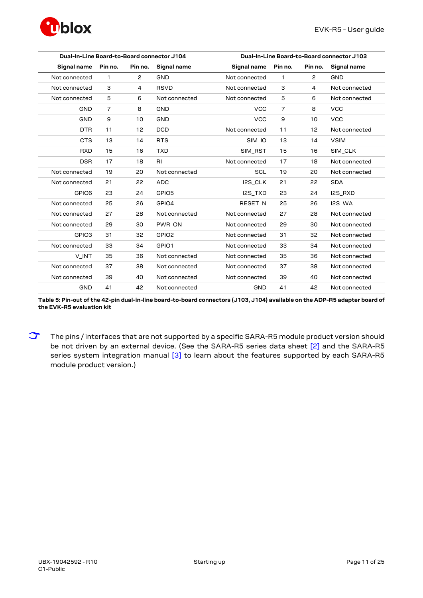

| Dual-In-Line Board-to-Board connector J104 |                |                      | Dual-In-Line Board-to-Board connector J103 |                |              |                |               |
|--------------------------------------------|----------------|----------------------|--------------------------------------------|----------------|--------------|----------------|---------------|
| Signal name                                | Pin no.        | Pin no.              | Signal name                                | Signal name    | Pin no.      | Pin no.        | Signal name   |
| Not connected                              | $\mathbf{1}$   | $\mathbf{2}^{\circ}$ | <b>GND</b>                                 | Not connected  | $\mathbf{1}$ | $\mathbf{2}$   | <b>GND</b>    |
| Not connected                              | 3              | 4                    | <b>RSVD</b>                                | Not connected  | 3            | $\overline{4}$ | Not connected |
| Not connected                              | 5              | 6                    | Not connected                              | Not connected  | 5            | 6              | Not connected |
| <b>GND</b>                                 | $\overline{7}$ | 8                    | <b>GND</b>                                 | <b>VCC</b>     | 7            | 8              | <b>VCC</b>    |
| <b>GND</b>                                 | 9              | 10                   | <b>GND</b>                                 | <b>VCC</b>     | 9            | 10             | <b>VCC</b>    |
| <b>DTR</b>                                 | 11             | 12                   | <b>DCD</b>                                 | Not connected  | 11           | 12             | Not connected |
| <b>CTS</b>                                 | 13             | 14                   | <b>RTS</b>                                 | SIM_IO         | 13           | 14             | <b>VSIM</b>   |
| <b>RXD</b>                                 | 15             | 16                   | <b>TXD</b>                                 | SIM_RST        | 15           | 16             | SIM_CLK       |
| <b>DSR</b>                                 | 17             | 18                   | RI                                         | Not connected  | 17           | 18             | Not connected |
| Not connected                              | 19             | 20                   | Not connected                              | <b>SCL</b>     | 19           | 20             | Not connected |
| Not connected                              | 21             | 22                   | <b>ADC</b>                                 | I2S_CLK        | 21           | 22             | <b>SDA</b>    |
| GPIO6                                      | 23             | 24                   | GPIO5                                      | I2S TXD        | 23           | 24             | I2S RXD       |
| Not connected                              | 25             | 26                   | GPIO4                                      | <b>RESET N</b> | 25           | 26             | I2S_WA        |
| Not connected                              | 27             | 28                   | Not connected                              | Not connected  | 27           | 28             | Not connected |
| Not connected                              | 29             | 30                   | PWR ON                                     | Not connected  | 29           | 30             | Not connected |
| GPIO3                                      | 31             | 32                   | GPIO <sub>2</sub>                          | Not connected  | 31           | 32             | Not connected |
| Not connected                              | 33             | 34                   | GPIO1                                      | Not connected  | 33           | 34             | Not connected |
| V INT                                      | 35             | 36                   | Not connected                              | Not connected  | 35           | 36             | Not connected |
| Not connected                              | 37             | 38                   | Not connected                              | Not connected  | 37           | 38             | Not connected |
| Not connected                              | 39             | 40                   | Not connected                              | Not connected  | 39           | 40             | Not connected |
| <b>GND</b>                                 | 41             | 42                   | Not connected                              | <b>GND</b>     | 41           | 42             | Not connected |

**Table 5: Pin-out of the 42-pin dual-in-line board-to-board connectors (J103, J104) available on the ADP-R5 adapter board of the EVK-R5 evaluation kit**

**☞** The pins / interfaces that are not supported by a specific SARA-R5 module product version should be not driven by an external device. (See the SARA-R5 series data sheet [\[2\]](#page-23-2) and the SARA-R5 series system integration manual [\[3\]](#page-23-3) to learn about the features supported by each SARA-R5 module product version.)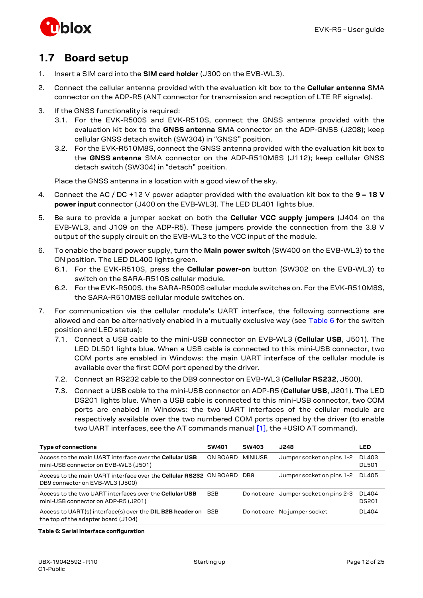

## <span id="page-11-0"></span>**1.7 Board setup**

- 1. Insert a SIM card into the **SIM card holder** (J300 on the EVB-WL3).
- 2. Connect the cellular antenna provided with the evaluation kit box to the **Cellular antenna** SMA connector on the ADP-R5 (ANT connector for transmission and reception of LTE RF signals).
- 3. If the GNSS functionality is required:
	- 3.1. For the EVK-R500S and EVK-R510S, connect the GNSS antenna provided with the evaluation kit box to the **GNSS antenna** SMA connector on the ADP-GNSS (J208); keep cellular GNSS detach switch (SW304) in "GNSS" position.
	- 3.2. For the EVK-R510M8S, connect the GNSS antenna provided with the evaluation kit box to the **GNSS antenna** SMA connector on the ADP-R510M8S (J112); keep cellular GNSS detach switch (SW304) in "detach" position.

Place the GNSS antenna in a location with a good view of the sky.

- 4. Connect the AC / DC +12 V power adapter provided with the evaluation kit box to the **9 – 18 V power input** connector (J400 on the EVB-WL3). The LED DL401 lights blue.
- 5. Be sure to provide a jumper socket on both the **Cellular VCC supply jumpers** (J404 on the EVB-WL3, and J109 on the ADP-R5). These jumpers provide the connection from the 3.8 V output of the supply circuit on the EVB-WL3 to the VCC input of the module.
- 6. To enable the board power supply, turn the **Main power switch** (SW400 on the EVB-WL3) to the ON position. The LED DL400 lights green.
	- 6.1. For the EVK-R510S, press the **Cellular power-on** button (SW302 on the EVB-WL3) to switch on the SARA-R510S cellular module.
	- 6.2. For the EVK-R500S, the SARA-R500S cellular module switches on. For the EVK-R510M8S, the SARA-R510M8S cellular module switches on.
- 7. For communication via the cellular module's UART interface, the following connections are allowed and can be alternatively enabled in a mutually exclusive way (see [Table 6](#page-11-1) for the switch position and LED status):
	- 7.1. Connect a USB cable to the mini-USB connector on EVB-WL3 (**Cellular USB**, J501). The LED DL501 lights blue. When a USB cable is connected to this mini-USB connector, two COM ports are enabled in Windows: the main UART interface of the cellular module is available over the first COM port opened by the driver.
	- 7.2. Connect an RS232 cable to the DB9 connector on EVB-WL3 (**Cellular RS232**, J500).
	- 7.3. Connect a USB cable to the mini-USB connector on ADP-R5 (**Cellular USB**, J201). The LED DS201 lights blue. When a USB cable is connected to this mini-USB connector, two COM ports are enabled in Windows: the two UART interfaces of the cellular module are respectively available over the two numbered COM ports opened by the driver (to enable two UART interfaces, see the AT commands manual [\[1\],](#page-23-4) the +USIO AT command).

| <b>Type of connections</b>                                                                                       | <b>SW401</b>     | <b>SW403</b> | J248                                  | LED                    |
|------------------------------------------------------------------------------------------------------------------|------------------|--------------|---------------------------------------|------------------------|
| Access to the main UART interface over the Cellular USB<br>mini-USB connector on EVB-WL3 (J501)                  | ON BOARD         | MINIUSB      | Jumper socket on pins 1-2             | DL403<br><b>DL501</b>  |
| Access to the main UART interface over the <b>Cellular RS232</b> ON BOARD DB9<br>DB9 connector on EVB-WL3 (J500) |                  |              | Jumper socket on pins 1-2             | DL405                  |
| Access to the two UART interfaces over the <b>Cellular USB</b><br>mini-USB connector on ADP-R5 (J201)            | B <sub>2</sub> B |              | Do not care Jumper socket on pins 2-3 | DI 404<br><b>DS201</b> |
| Access to UART(s) interface(s) over the DIL B2B header on B2B<br>the top of the adapter board (J104)             |                  |              | Do not care No jumper socket          | <b>DL404</b>           |

### <span id="page-11-1"></span>**Table 6: Serial interface configuration**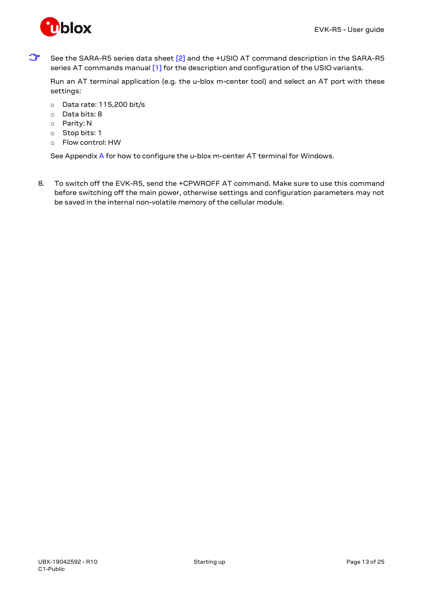

See the SARA-R5 series data sheet [\[2\]](#page-23-2) and the +USIO AT command description in the SARA-R5 series AT commands manua[l \[1\]](#page-23-4) for the description and configuration of the USIO variants.

Run an AT terminal application (e.g. the u-blox m-center tool) and select an AT port with these settings:

- o Data rate: 115,200 bit/s
- o Data bits: 8
- o Parity: N
- o Stop bits: 1
- o Flow control: HW

See Appendi[x A](#page-13-1) for how to configure the u-blox m-center AT terminal for Windows.

8. To switch off the EVK-R5, send the +CPWROFF AT command. Make sure to use this command before switching off the main power, otherwise settings and configuration parameters may not be saved in the internal non-volatile memory of the cellular module.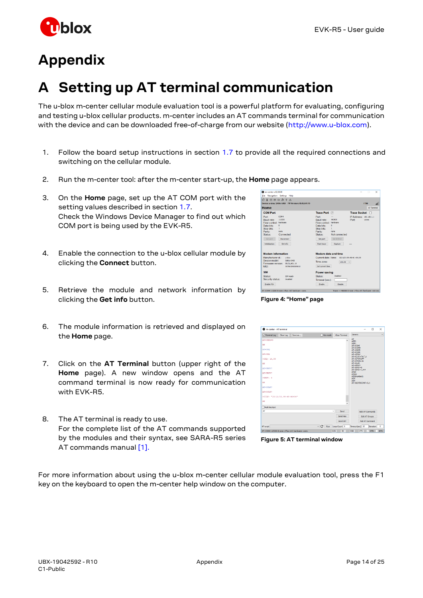

# <span id="page-13-0"></span>**Appendix**

# <span id="page-13-1"></span>**A Setting up AT terminal communication**

The u-blox m-center cellular module evaluation tool is a powerful platform for evaluating, configuring and testing u-blox cellular products. m-center includes an AT commands terminal for communication with the device and can be downloaded free-of-charge from our website [\(http://www.u-blox.com\)](http://www.u-blox.com/).

- 1. Follow the board setup instructions in section [1.7](#page-11-0) to provide all the required connections and switching on the cellular module.
- 2. Run the m-center tool: after the m-center start-up, the **Home** page appears.
- 3. On the **Home** page, set up the AT COM port with the setting values described in sectio[n 1.7.](#page-11-0) Check the Windows Device Manager to find out which COM port is being used by the EVK-R5.
- 4. Enable the connection to the u-blox cellular module by clicking the **Connect** button.
- 5. Retrieve the module and network information by clicking the **Get info** button.
- 6. The module information is retrieved and displayed on the **Home** page.
- 7. Click on the **AT Terminal** button (upper right of the **Home** page). A new window opens and the AT command terminal is now ready for communication with EVK-R5.
- 8. The AT terminal is ready to use. For the complete list of the AT commands supported by the modules and their syntax, see SARA-R5 series AT commands manual [\[1\].](#page-23-4)

**Figure 4: "Home" page**

| <b>Q</b> m-center - AT terminal |           |                                                  |                                    |                |                             | $\sim$                | $\Box$     | $\times$   |
|---------------------------------|-----------|--------------------------------------------------|------------------------------------|----------------|-----------------------------|-----------------------|------------|------------|
| Terminal Log                    | Clear Log | Save as                                          | Hex mode                           | Clear Terminal | Generic                     |                       |            | $\sim$     |
| AT+CREG=0                       |           |                                                  |                                    |                | AT.<br>ATE0                 |                       |            |            |
| <b>OK</b>                       |           |                                                  |                                    |                | ATE <sub>1</sub><br>AT+CGMI |                       |            |            |
| AT+CSQ                          |           |                                                  |                                    |                | AT+CGMM<br>AT+CGMR          |                       |            |            |
| AT+CSQ                          |           |                                                  |                                    |                | AT+CGSN<br>AT+CPIN?         |                       |            |            |
| +CSQ: 16,99                     |           |                                                  |                                    |                | AT+CPWROFF<br>AT+CFUN-16    | AT+CLCK="SC".2        |            |            |
| OK                              |           |                                                  |                                    |                | AT+CLAC<br>AT 4UPSV7        |                       |            |            |
| AT+UPSV?                        |           |                                                  |                                    |                | AT+HPSV=0                   | AT+UPSY-1.##          |            |            |
| AT+UPSV?                        |           |                                                  |                                    |                | <b>ATAV</b><br><b>ATAW</b>  |                       |            |            |
| $+UPSV: 0$                      |           |                                                  |                                    |                | ATD(number):<br><b>ATA</b>  |                       |            |            |
| OK                              |           |                                                  |                                    |                | <b>ATH</b>                  | AT +UEXTDCONF=0.1     |            |            |
| AT+CCLE?                        |           |                                                  |                                    |                |                             |                       |            |            |
| AT+CCLK?                        |           |                                                  |                                    |                |                             |                       |            |            |
| +CCLK: "18/11/21.09:48:46+04"   |           |                                                  |                                    |                |                             |                       |            |            |
| or                              |           |                                                  |                                    |                |                             |                       |            |            |
| Multi line text                 |           |                                                  |                                    |                |                             |                       |            |            |
| AT                              |           |                                                  |                                    | $\sim$<br>Send |                             | Edit AT Commands      |            |            |
|                                 |           |                                                  |                                    | Send Hex       |                             | <b>Edit AT Groups</b> |            |            |
|                                 |           |                                                  |                                    | Send Ctrl      |                             | <b>Add AT Command</b> |            |            |
| AT script                       |           |                                                  | $\vee$ $\bigcirc$ Run Loop Count 1 |                | Timeout(sec) 10             |                       | Iteration  | ٥          |
|                                 |           | AT-COM4 115200 8 none 1 Flow ctd: hardware - com |                                    | non pr         |                             | no me                 | <b>DTD</b> | <b>DTC</b> |

**Figure 5: AT terminal window**

For more information about using the u-blox m-center cellular module evaluation tool, press the F1 key on the keyboard to open the m-center help window on the computer.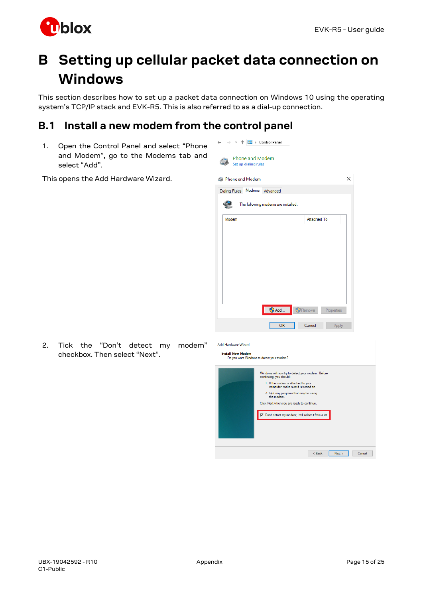

# <span id="page-14-0"></span>**B Setting up cellular packet data connection on Windows**

This section describes how to set up a packet data connection on Windows 10 using the operating system's TCP/IP stack and EVK-R5. This is also referred to as a dial-up connection.

 $\leftarrow \quad \rightarrow \quad \checkmark \quad \boxed{\color{red} \underline{\bullet 2 \color{black} \underline{\bullet}\color{black}}} \rightarrow \text{ Control Panel}$ 

## <span id="page-14-1"></span>**B.1 Install a new modem from the control panel**

1. Open the Control Panel and select "Phone and Modem", go to the Modems tab and select "Add".

This opens the Add Hardware Wizard.



2. Tick the "Don't detect my modem" checkbox. Then select "Next".

| Do you want Windows to detect your modem?                                    |
|------------------------------------------------------------------------------|
| Windows will now try to detect your modem. Before<br>continuing, you should: |
| 1. If the modem is attached to your<br>computer, make sure it is turned on.  |
| 2. Quit any programs that may be using<br>the modem                          |
| Click Next when you are ready to continue.                                   |
| □ Don't detect my modem; I will select it from a list.                       |
|                                                                              |
|                                                                              |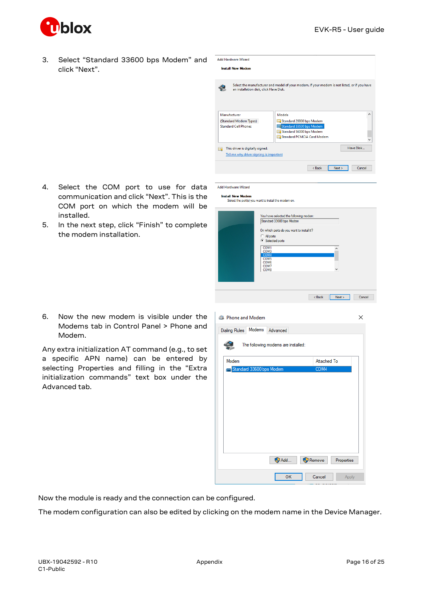

installed.

3. Select "Standard 33600 bps Modem" and click "Next".

| З. | Select "Standard 33600 bps Modem" and<br>click "Next". | <b>Add Hardware Wizard</b><br><b>Install New Modem</b>                                                                                                                                            |          |
|----|--------------------------------------------------------|---------------------------------------------------------------------------------------------------------------------------------------------------------------------------------------------------|----------|
|    |                                                        | Select the manufacturer and model of your modem. If your modem is not listed, or if you have<br>€<br>an installation disk, click Have Disk.                                                       |          |
|    |                                                        | Manufacturer<br>Models<br>(Standard Modem Types)<br>Standard 28800 bps Modem<br>Standard 33600 bps Modem<br><b>Standard Cell Phones</b><br>Standard 56000 bps Modem<br>Standard PCMCIA Card Modem | $\wedge$ |
|    |                                                        | Have Disk<br>This driver is digitally signed.<br>G<br>Tell me why driver signing is important                                                                                                     |          |
| 4. | Select<br>the COM<br>to use for data<br>port           | < Back<br>Next<br>Cancel<br><b>Add Hardware Wizard</b>                                                                                                                                            |          |

### Add Hardware Wizard

Install New Modem<br>Select the port(s) you want to install the modem on.

| You have selected the following modem:<br>Standard 33600 bps Modem                                   |   |  |
|------------------------------------------------------------------------------------------------------|---|--|
| On which ports do you want to install it?<br>C All ports<br><sup>6</sup> Selected ports              |   |  |
| COM1<br>COM <sub>3</sub><br>COM4<br>COM <sub>5</sub><br>COM <sub>6</sub><br>COM7<br>COM <sub>8</sub> | v |  |
|                                                                                                      |   |  |

| 6. Now the new modem is visible under the |
|-------------------------------------------|
| Modems tab in Control Panel > Phone and   |
| Modem.                                    |
|                                           |

communication and click "Next". This is the COM port on which the modem will be

5. In the next step, click "Finish" to complete

the modem installation.

Any extra initialization AT command (e.g., to set a specific APN name) can be entered by selecting Properties and filling in the "Extra initialization commands" text box under the Advanced tab.

| <b>Phone and Modem</b>                     | x               |
|--------------------------------------------|-----------------|
| Modems<br><b>Dialing Rules</b><br>Advanced |                 |
| The following modems are installed:        |                 |
| Modem                                      | Attached To     |
| Standard 33600 bps Modem                   | COM4            |
|                                            |                 |
|                                            |                 |
|                                            |                 |
|                                            |                 |
|                                            |                 |
|                                            |                 |
|                                            |                 |
|                                            |                 |
|                                            |                 |
| Add<br>Remove                              | Properties      |
| OK                                         | Cancel<br>Apply |

Now the module is ready and the connection can be configured.

The modem configuration can also be edited by clicking on the modem name in the Device Manager.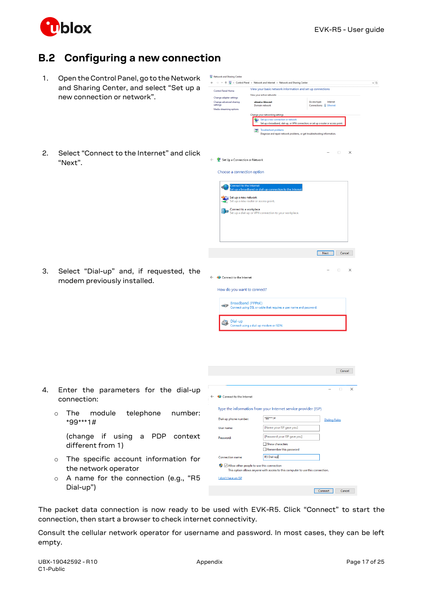

## <span id="page-16-0"></span>**B.2 Configuring a new connection**

- 1. Open the Control Panel, go to the Network and Sharing Center, and sele new connection or network".
- 2. Select "Connect to the Internet" "Next".

3. Select "Dial-up" and, if req modem previously installed.

4. Enter the parameters for

|         |                                                       |                                                                | →  v 个 → Control Panel > Network and Internet > Network and Sharing Center     |                                                                                     | $\sim$ 0 |
|---------|-------------------------------------------------------|----------------------------------------------------------------|--------------------------------------------------------------------------------|-------------------------------------------------------------------------------------|----------|
|         | and Sharing Center, and select "Set up a              | <b>Control Panel Home</b>                                      | View your basic network information and set up connections                     |                                                                                     |          |
|         | new connection or network".                           | Change adapter settings                                        | View your active networks<br>ubxad.u-blox.net                                  | Internet                                                                            |          |
|         |                                                       | Change advanced sharing<br>settings<br>Media streaming options | Domain network                                                                 | Access type:<br>Connections: U Ethernet                                             |          |
|         |                                                       |                                                                | Change your networking settings                                                |                                                                                     |          |
|         |                                                       |                                                                | Set up a new connection or network                                             | Set up a broadband, dial-up, or VPN connection; or set up a router or access point. |          |
|         |                                                       |                                                                | Troubleshoot problem<br>Ξ                                                      | Diagnose and repair network problems, or get troubleshooting information.           |          |
|         |                                                       |                                                                |                                                                                |                                                                                     |          |
|         | Select "Connect to the Internet" and click<br>"Next". | Set Up a Connection or Network<br>Choose a connection option   |                                                                                | $\Box$<br>$\times$                                                                  |          |
|         |                                                       |                                                                |                                                                                |                                                                                     |          |
|         |                                                       | onnect to the Internet                                         | et up a broadband or dial-up connection to the Inter                           |                                                                                     |          |
|         |                                                       | Set up a new network                                           |                                                                                |                                                                                     |          |
|         |                                                       |                                                                | Set up a new router or access point.                                           |                                                                                     |          |
|         |                                                       | Connect to a workplace                                         | Set up a dial-up or VPN connection to your workplace.                          |                                                                                     |          |
|         |                                                       |                                                                |                                                                                |                                                                                     |          |
|         |                                                       |                                                                |                                                                                |                                                                                     |          |
|         |                                                       |                                                                |                                                                                |                                                                                     |          |
|         |                                                       |                                                                |                                                                                |                                                                                     |          |
|         |                                                       |                                                                |                                                                                | Next<br>Cancel                                                                      |          |
|         |                                                       |                                                                |                                                                                |                                                                                     |          |
|         | Select "Dial-up" and, if requested, the               |                                                                |                                                                                | $\Box$<br>$\times$                                                                  |          |
|         |                                                       | $\leftarrow$<br>Connect to the Internet                        |                                                                                |                                                                                     |          |
|         | modem previously installed.                           |                                                                |                                                                                |                                                                                     |          |
|         |                                                       | How do you want to connect?                                    |                                                                                |                                                                                     |          |
|         |                                                       |                                                                | <b>Broadband (PPPoE)</b>                                                       |                                                                                     |          |
|         |                                                       | $\Rightarrow$                                                  | Connect using DSL or cable that requires a user name and password.             |                                                                                     |          |
|         |                                                       |                                                                |                                                                                |                                                                                     |          |
|         |                                                       | $\sum_{n=1}^{\infty}$                                          | Connect using a dial-up modem or ISDN.                                         |                                                                                     |          |
|         |                                                       |                                                                |                                                                                |                                                                                     |          |
|         |                                                       |                                                                |                                                                                |                                                                                     |          |
|         |                                                       |                                                                |                                                                                |                                                                                     |          |
|         |                                                       |                                                                |                                                                                |                                                                                     |          |
|         |                                                       |                                                                |                                                                                |                                                                                     |          |
|         |                                                       |                                                                |                                                                                | Cancel                                                                              |          |
|         |                                                       |                                                                |                                                                                |                                                                                     |          |
|         | Enter the parameters for the dial-up                  |                                                                |                                                                                | $\Box$<br>$\times$                                                                  |          |
|         |                                                       | ← © Connect to the Internet                                    |                                                                                |                                                                                     |          |
|         | connection:                                           |                                                                |                                                                                |                                                                                     |          |
| $\circ$ | telephone<br>The<br>module<br>number:                 |                                                                | Type the information from your Internet service provider (ISP)                 |                                                                                     |          |
|         | *99***1#                                              | Dial-up phone number:                                          | *99***1#                                                                       | <b>Dialing Rules</b>                                                                |          |
|         |                                                       | User name:                                                     | [Name your ISP gave you]                                                       |                                                                                     |          |
|         | (change if using<br>a PDP<br>context                  | Password:                                                      | [Password your ISP gave you]                                                   |                                                                                     |          |
|         | different from 1)                                     |                                                                | Show characters                                                                |                                                                                     |          |
|         |                                                       |                                                                | Remember this password                                                         |                                                                                     |          |
| $\circ$ | The specific account information for                  | <b>Connection name:</b>                                        | <b>R5 Dial-up</b>                                                              |                                                                                     |          |
|         | the network operator                                  |                                                                | Allow other people to use this connection                                      |                                                                                     |          |
|         |                                                       |                                                                | This option allows anyone with access to this computer to use this connection. |                                                                                     |          |
| $\circ$ | A name for the connection (e.g., "R5                  | I don't have an ISP                                            |                                                                                |                                                                                     |          |
|         | Dial-up")                                             |                                                                |                                                                                | Connect<br>Cancel                                                                   |          |
|         |                                                       |                                                                |                                                                                |                                                                                     |          |

Network and Sharing Center

The packet data connection is now ready to be used with EVK-R5. Click "Connect" to start the connection, then start a browser to check internet connectivity.

Consult the cellular network operator for username and password. In most cases, they can be left empty.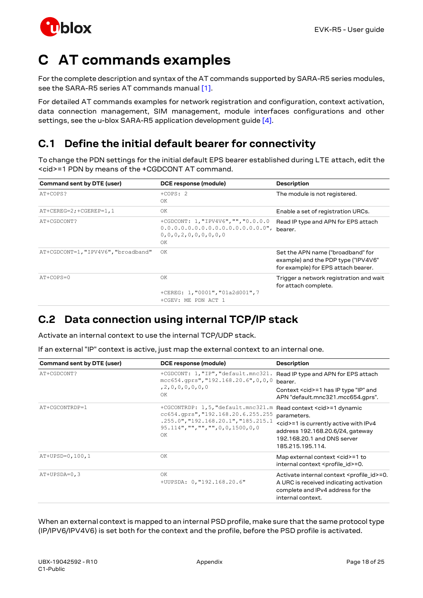

# <span id="page-17-0"></span>**C AT commands examples**

For the complete description and syntax of the AT commands supported by SARA-R5 series modules, see the SARA-R5 series AT commands manua[l \[1\].](#page-23-4)

For detailed AT commands examples for network registration and configuration, context activation, data connection management, SIM management, module interfaces configurations and other settings, see the u-blox SARA-R5 application development guide [\[4\].](#page-23-5)

## <span id="page-17-1"></span>**C.1 Define the initial default bearer for connectivity**

To change the PDN settings for the initial default EPS bearer established during LTE attach, edit the <cid>=1 PDN by means of the +CGDCONT AT command.

| Command sent by DTE (user)          | DCE response (module)                                                                                                 | <b>Description</b>                                                                                              |
|-------------------------------------|-----------------------------------------------------------------------------------------------------------------------|-----------------------------------------------------------------------------------------------------------------|
| AT+COPS?                            | $+COPS: 2$<br>OK                                                                                                      | The module is not registered.                                                                                   |
| AT+CEREG=2; +CGEREP=1, 1            | OK                                                                                                                    | Enable a set of registration URCs.                                                                              |
| AT+CGDCONT?                         | +CGDCONT: 1, "IPV4V6", "", "0.0.0.0<br>$0.0.0.0.0.0.0.0.0.0.0.0.0.0.0.0.0.0$ ",<br>0, 0, 0, 2, 0, 0, 0, 0, 0, 0<br>OK | Read IP type and APN for EPS attach<br>bearer.                                                                  |
| AT+CGDCONT=1, "IPV4V6", "broadband" | OK                                                                                                                    | Set the APN name ("broadband" for<br>example) and the PDP type ("IPV4V6"<br>for example) for EPS attach bearer. |
| AT+COPS=0                           | OK                                                                                                                    | Trigger a network registration and wait<br>for attach complete.                                                 |
|                                     | +CEREG: 1, "0001", "01a2d001", 7<br>+CGEV: ME PDN ACT 1                                                               |                                                                                                                 |

## <span id="page-17-2"></span>**C.2 Data connection using internal TCP/IP stack**

Activate an internal context to use the internal TCP/UDP stack.

If an external "IP" context is active, just map the external context to an internal one.

| Command sent by DTE (user) | DCE response (module)                                                                                                                                             | <b>Description</b>                                                                                                                                                                           |
|----------------------------|-------------------------------------------------------------------------------------------------------------------------------------------------------------------|----------------------------------------------------------------------------------------------------------------------------------------------------------------------------------------------|
| AT+CGDCONT?                | +CGDCONT: 1, "IP", "default.mnc321.<br>$mcc654.$ qprs", "192.168.20.6", 0,0,0<br>, 2, 0, 0, 0, 0, 0, 0<br>OK                                                      | Read IP type and APN for EPS attach<br>bearer.<br>Context < cid> = 1 has IP type "IP" and<br>APN "default.mnc321.mcc654.gprs".                                                               |
| AT+CGCONTRDP=1             | +CGCONTRDP: 1,5, "default.mnc321.m<br>cc654.qprs", "192.168.20.6.255.255<br>.255.0", "192.168.20.1", "185.215.1<br>$95.114$ ", "", "", "", 0, 0, 1500, 0, 0<br>OK | Read context <cid>=1 dynamic<br/>parameters.<br/><cid>=1 is currently active with IPv4<br/>address 192.168.20.6/24, gateway<br/>192.168.20.1 and DNS server<br/>185.215.195.114.</cid></cid> |
| AT+UPSD=0,100,1            | OK                                                                                                                                                                | Map external context <cid>=1 to<br/>internal context <profile_id>=0.</profile_id></cid>                                                                                                      |
| $AT+UPSDA=0, 3$            | ΟK<br>+UUPSDA: 0, "192.168.20.6"                                                                                                                                  | Activate internal context <profile_id>=0.<br/>A URC is received indicating activation<br/>complete and IPv4 address for the<br/>internal context.</profile_id>                               |

When an external context is mapped to an internal PSD profile, make sure that the same protocol type (IP/IPV6/IPV4V6) is set both for the context and the profile, before the PSD profile is activated.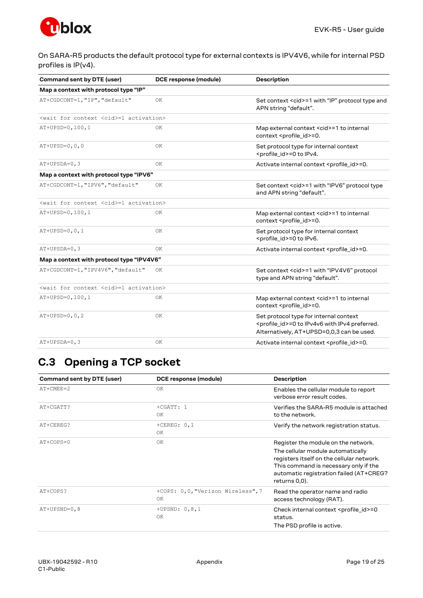

On SARA-R5 products the default protocol type for external contexts is IPV4V6, while for internal PSD profiles is IP(v4).

| Command sent by DTE (user)                               | DCE response (module) | <b>Description</b>                                                                                                                                 |
|----------------------------------------------------------|-----------------------|----------------------------------------------------------------------------------------------------------------------------------------------------|
| Map a context with protocol type "IP"                    |                       |                                                                                                                                                    |
| AT+CGDCONT=1, "IP", "default"                            | 0K                    | Set context <cid>=1 with "IP" protocol type and<br/>APN string "default".</cid>                                                                    |
| <wait <cid="" context="" for="">=1 activation&gt;</wait> |                       |                                                                                                                                                    |
| AT+UPSD=0,100,1                                          | OK.                   | Map external context <cid>=1 to internal<br/>context <profile id="">=0.</profile></cid>                                                            |
| $AT+UPSD=0, 0, 0$                                        | ΟK                    | Set protocol type for internal context<br><profile_id>=0 to IPv4.</profile_id>                                                                     |
| $AT+UPSDA=0,3$                                           | OK                    | Activate internal context <profile_id>=0.</profile_id>                                                                                             |
| Map a context with protocol type "IPV6"                  |                       |                                                                                                                                                    |
| AT+CGDCONT=1, "IPV6", "default"                          | OK.                   | Set context <cid>=1 with "IPV6" protocol type<br/>and APN string "default".</cid>                                                                  |
| <wait <cid="" context="" for="">=1 activation&gt;</wait> |                       |                                                                                                                                                    |
| AT+UPSD=0,100,1                                          | OK.                   | Map external context <cid>=1 to internal<br/>context <profile_id>=0.</profile_id></cid>                                                            |
| $AT+UPSD=0, 0, 1$                                        | OK                    | Set protocol type for internal context<br><profile id="">=0 to IPv6.</profile>                                                                     |
| $AT+UPSDA=0, 3$                                          | OK                    | Activate internal context <profile id="">=0.</profile>                                                                                             |
| Map a context with protocol type "IPV4V6"                |                       |                                                                                                                                                    |
| AT+CGDCONT=1, "IPV4V6", "default"                        | OK                    | Set context <cid>=1 with "IPV4V6" protocol<br/>type and APN string "default".</cid>                                                                |
| <wait <cid="" context="" for="">=1 activation&gt;</wait> |                       |                                                                                                                                                    |
| AT+UPSD=0,100,1                                          | OK                    | Map external context <cid>=1 to internal<br/>context <profile id="">=0.</profile></cid>                                                            |
| $AT+UPSD=0, 0, 2$                                        | OK                    | Set protocol type for internal context<br><profile_id>=0 to IPv4v6 with IPv4 preferred.<br/>Alternatively, AT+UPSD=0,0,3 can be used.</profile_id> |
| $AT+UPSDA=0, 3$                                          | ΟK                    | Activate internal context <profile_id>=0.</profile_id>                                                                                             |

## <span id="page-18-0"></span>**C.3 Opening a TCP socket**

| Command sent by DTE (user) | DCE response (module)                   | <b>Description</b>                                                                                                                                                                                                         |
|----------------------------|-----------------------------------------|----------------------------------------------------------------------------------------------------------------------------------------------------------------------------------------------------------------------------|
| $AT+CMEE=2$                | ΟK                                      | Enables the cellular module to report<br>verbose error result codes.                                                                                                                                                       |
| AT+CGATT?                  | $+CGATT: 1$<br>OK.                      | Verifies the SARA-R5 module is attached<br>to the network.                                                                                                                                                                 |
| AT+CEREG?                  | $+CEREG: 0, 1$<br>OK.                   | Verify the network registration status.                                                                                                                                                                                    |
| $AT+COPS=0$                | 0K                                      | Register the module on the network.<br>The cellular module automatically<br>registers itself on the cellular network.<br>This command is necessary only if the<br>automatic registration failed (AT+CREG?<br>returns 0,0). |
| AT+COPS?                   | +COPS: 0,0, "Verizon Wireless", 7<br>OK | Read the operator name and radio<br>access technology (RAT).                                                                                                                                                               |
| AT+UPSND=0,8               | +UPSND: $0, 8, 1$<br>OK                 | Check internal context <profile_id>=0<br/>status.<br/>The PSD profile is active.</profile_id>                                                                                                                              |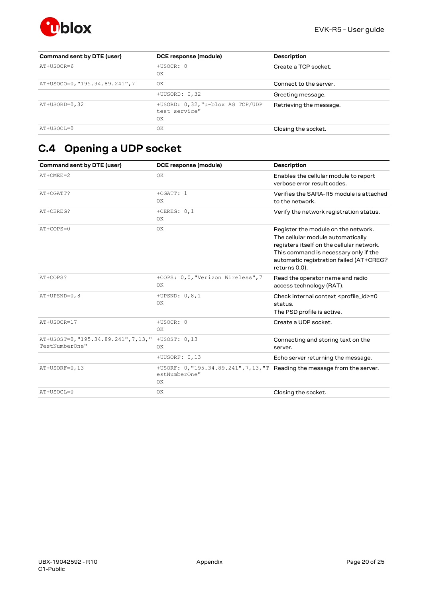

| Command sent by DTE (user)     | DCE response (module)                                   | <b>Description</b>      |
|--------------------------------|---------------------------------------------------------|-------------------------|
| AT+USOCR=6                     | +USOCR: 0<br>ΟK                                         | Create a TCP socket.    |
| AT+USOCO=0, "195.34.89.241", 7 | OK                                                      | Connect to the server.  |
|                                | $+UUSORD: 0, 32$                                        | Greeting message.       |
| $AT+USORD=0, 32$               | +USORD: 0,32, "u-blox AG TCP/UDP<br>test service"<br>ΟK | Retrieving the message. |
| AT+USOCL=0                     | ΟK                                                      | Closing the socket.     |

# <span id="page-19-0"></span>**C.4 Opening a UDP socket**

| Command sent by DTE (user)                                            | DCE response (module)                                                                             | <b>Description</b>                                                                                                                                                                                                         |
|-----------------------------------------------------------------------|---------------------------------------------------------------------------------------------------|----------------------------------------------------------------------------------------------------------------------------------------------------------------------------------------------------------------------------|
| $AT+CMER=2$                                                           | OK                                                                                                | Enables the cellular module to report<br>verbose error result codes.                                                                                                                                                       |
| AT+CGATT?                                                             | $+CGATT: 1$<br>OK                                                                                 | Verifies the SARA-R5 module is attached<br>to the network.                                                                                                                                                                 |
| AT+CEREG?                                                             | +CEREG: $0,1$<br>OK                                                                               | Verify the network registration status.                                                                                                                                                                                    |
| AT+COPS=0                                                             | OK                                                                                                | Register the module on the network.<br>The cellular module automatically<br>registers itself on the cellular network.<br>This command is necessary only if the<br>automatic registration failed (AT+CREG?<br>returns 0,0). |
| AT+COPS?                                                              | +COPS: 0,0, "Verizon Wireless", 7<br>OK                                                           | Read the operator name and radio<br>access technology (RAT).                                                                                                                                                               |
| $AT+UPSND=0,8$                                                        | +UPSND: $0, 8, 1$<br>OK                                                                           | Check internal context <profile_id>=0<br/>status.<br/>The PSD profile is active.</profile_id>                                                                                                                              |
| AT+USOCR=17                                                           | +USOCR: 0<br>OK                                                                                   | Create a UDP socket.                                                                                                                                                                                                       |
| AT+USOST=0, "195.34.89.241", 7, 13, " +USOST: 0, 13<br>TestNumberOne" | OK                                                                                                | Connecting and storing text on the<br>server.                                                                                                                                                                              |
|                                                                       | +UUSORF: 0,13                                                                                     | Echo server returning the message.                                                                                                                                                                                         |
| $AT+USORF=0, 13$                                                      | +USORF: 0, "195.34.89.241", 7, 13, "T Reading the message from the server.<br>estNumberOne"<br>OK |                                                                                                                                                                                                                            |
| AT+USOCL=0                                                            | OK                                                                                                | Closing the socket.                                                                                                                                                                                                        |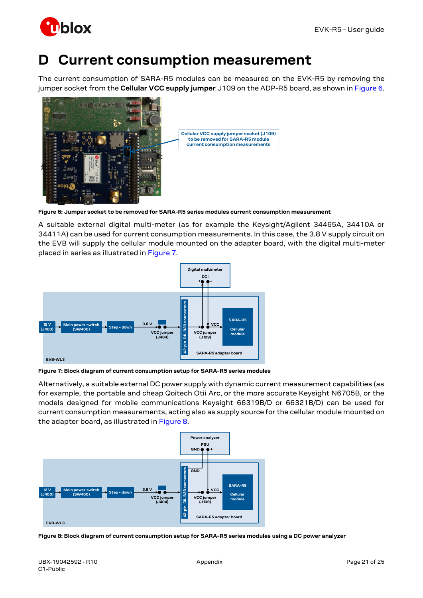

# <span id="page-20-0"></span>**D Current consumption measurement**

The current consumption of SARA-R5 modules can be measured on the EVK-R5 by removing the jumper socket from the **Cellular VCC supply jumper** J109 on the ADP-R5 board, as shown i[n Figure 6.](#page-20-1)



| Cellular VCC supply jumper socket (J109)                             |
|----------------------------------------------------------------------|
| to be removed for SARA-R5 module<br>current consumption measurements |

<span id="page-20-1"></span>**Figure 6: Jumper socket to be removed for SARA-R5 series modules current consumption measurement**

A suitable external digital multi-meter (as for example the Keysight/Agilent 34465A, 34410A or 34411A) can be used for current consumption measurements. In this case, the 3.8 V supply circuit on the EVB will supply the cellular module mounted on the adapter board, with the digital multi-meter placed in series as illustrated in [Figure 7.](#page-20-2)



<span id="page-20-2"></span>**Figure 7: Block diagram of current consumption setup for SARA-R5 series modules**

Alternatively, a suitable external DC power supply with dynamic current measurement capabilities (as for example, the portable and cheap Qoitech Otii Arc, or the more accurate Keysight N6705B, or the models designed for mobile communications Keysight 66319B/D or 66321B/D) can be used for current consumption measurements, acting also as supply source for the cellular module mounted on the adapter board, as illustrated in [Figure 8.](#page-20-3)



<span id="page-20-3"></span>**Figure 8: Block diagram of current consumption setup for SARA-R5 series modules using a DC power analyzer**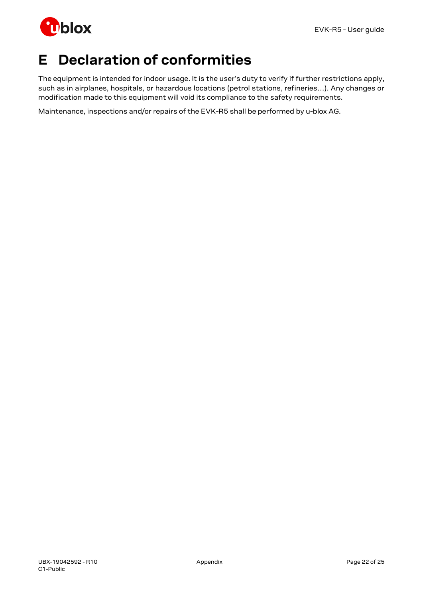

# <span id="page-21-0"></span>**E Declaration of conformities**

The equipment is intended for indoor usage. It is the user's duty to verify if further restrictions apply, such as in airplanes, hospitals, or hazardous locations (petrol stations, refineries…). Any changes or modification made to this equipment will void its compliance to the safety requirements.

Maintenance, inspections and/or repairs of the EVK-R5 shall be performed by u-blox AG.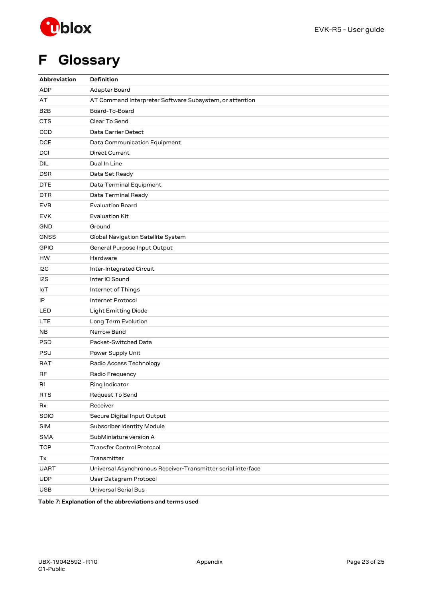

# <span id="page-22-0"></span>**F Glossary**

| Abbreviation     | <b>Definition</b>                                            |  |  |
|------------------|--------------------------------------------------------------|--|--|
| <b>ADP</b>       | Adapter Board                                                |  |  |
| AT               | AT Command Interpreter Software Subsystem, or attention      |  |  |
| B <sub>2</sub> B | Board-To-Board                                               |  |  |
| <b>CTS</b>       | Clear To Send                                                |  |  |
| <b>DCD</b>       | Data Carrier Detect                                          |  |  |
| <b>DCE</b>       | Data Communication Equipment                                 |  |  |
| DCI              | <b>Direct Current</b>                                        |  |  |
| DIL              | Dual In Line                                                 |  |  |
| <b>DSR</b>       | Data Set Ready                                               |  |  |
| <b>DTE</b>       | Data Terminal Equipment                                      |  |  |
| DTR              | Data Terminal Ready                                          |  |  |
| <b>EVB</b>       | <b>Evaluation Board</b>                                      |  |  |
| <b>EVK</b>       | <b>Evaluation Kit</b>                                        |  |  |
| GND              | Ground                                                       |  |  |
| <b>GNSS</b>      | Global Navigation Satellite System                           |  |  |
| <b>GPIO</b>      | General Purpose Input Output                                 |  |  |
| HW               | Hardware                                                     |  |  |
| I <sub>2</sub> C | Inter-Integrated Circuit                                     |  |  |
| 12S              | Inter IC Sound                                               |  |  |
| IoT              | Internet of Things                                           |  |  |
| IP               | <b>Internet Protocol</b>                                     |  |  |
| LED              | <b>Light Emitting Diode</b>                                  |  |  |
| LTE              | Long Term Evolution                                          |  |  |
| NB               | Narrow Band                                                  |  |  |
| <b>PSD</b>       | Packet-Switched Data                                         |  |  |
| <b>PSU</b>       | Power Supply Unit                                            |  |  |
| RAT              | Radio Access Technology                                      |  |  |
| RF               | Radio Frequency                                              |  |  |
| RI               | Ring Indicator                                               |  |  |
| <b>RTS</b>       | Request To Send                                              |  |  |
| Rx               | Receiver                                                     |  |  |
| <b>SDIO</b>      | Secure Digital Input Output                                  |  |  |
| <b>SIM</b>       | Subscriber Identity Module                                   |  |  |
| <b>SMA</b>       | SubMiniature version A                                       |  |  |
| <b>TCP</b>       | <b>Transfer Control Protocol</b>                             |  |  |
| Tx               | Transmitter                                                  |  |  |
| <b>UART</b>      | Universal Asynchronous Receiver-Transmitter serial interface |  |  |
| <b>UDP</b>       | User Datagram Protocol                                       |  |  |
| <b>USB</b>       | <b>Universal Serial Bus</b>                                  |  |  |

**Table 7: Explanation of the abbreviations and terms used**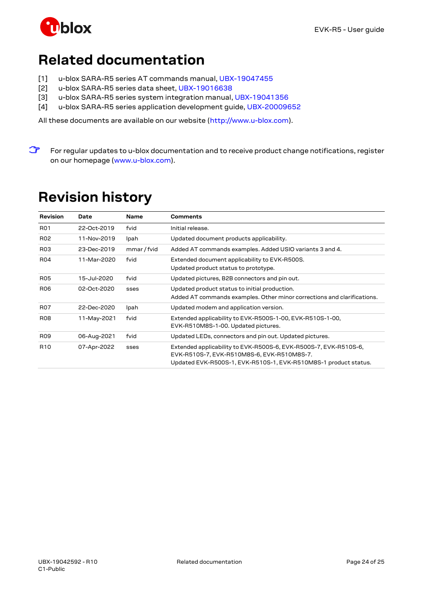

# <span id="page-23-0"></span>**Related documentation**

- <span id="page-23-4"></span>[1] u-blox SARA-R5 series AT commands manual, [UBX-19047455](https://www.u-blox.com/docs/UBX-19047455)
- <span id="page-23-2"></span>[2] u-blox SARA-R5 series data sheet[, UBX-19016638](https://www.u-blox.com/docs/UBX-19016638)
- <span id="page-23-3"></span>[3] u-blox SARA-R5 series system integration manual[, UBX-19041356](https://www.u-blox.com/docs/UBX-19041356)
- <span id="page-23-5"></span>[4] u-blox SARA-R5 series application development guide, [UBX-20009652](https://www.u-blox.com/docs/UBX-20009652)

All these documents are available on our website [\(http://www.u-blox.com\)](http://www.u-blox.ch/).

**☞** For regular updates to u-blox documentation and to receive product change notifications, register on our homepage [\(www.u-blox.com\)](http://www.u-blox.com/).

# <span id="page-23-1"></span>**Revision history**

| <b>Revision</b>  | Date        | <b>Name</b> | <b>Comments</b>                                                                                                                                                                   |
|------------------|-------------|-------------|-----------------------------------------------------------------------------------------------------------------------------------------------------------------------------------|
| R <sub>01</sub>  | 22-Oct-2019 | fvid        | Initial release.                                                                                                                                                                  |
| R <sub>0</sub> 2 | 11-Nov-2019 | Ipah        | Updated document products applicability.                                                                                                                                          |
| R <sub>03</sub>  | 23-Dec-2019 | mmar / fvid | Added AT commands examples. Added USIO variants 3 and 4.                                                                                                                          |
| <b>R04</b>       | 11-Mar-2020 | fvid        | Extended document applicability to EVK-R500S.<br>Updated product status to prototype.                                                                                             |
| <b>R05</b>       | 15-Jul-2020 | fvid        | Updated pictures, B2B connectors and pin out.                                                                                                                                     |
| <b>R06</b>       | 02-Oct-2020 | sses        | Updated product status to initial production.<br>Added AT commands examples. Other minor corrections and clarifications.                                                          |
| <b>R07</b>       | 22-Dec-2020 | Ipah        | Updated modem and application version.                                                                                                                                            |
| <b>R08</b>       | 11-May-2021 | fvid        | Extended applicability to EVK-R500S-1-00, EVK-R510S-1-00,<br>EVK-R510M8S-1-00. Updated pictures.                                                                                  |
| <b>R09</b>       | 06-Aug-2021 | fvid        | Updated LEDs, connectors and pin out. Updated pictures.                                                                                                                           |
| R <sub>10</sub>  | 07-Apr-2022 | sses        | Extended applicability to EVK-R500S-6, EVK-R500S-7, EVK-R510S-6,<br>EVK-R510S-7, EVK-R510M8S-6, EVK-R510M8S-7.<br>Updated EVK-R500S-1, EVK-R510S-1, EVK-R510M8S-1 product status. |